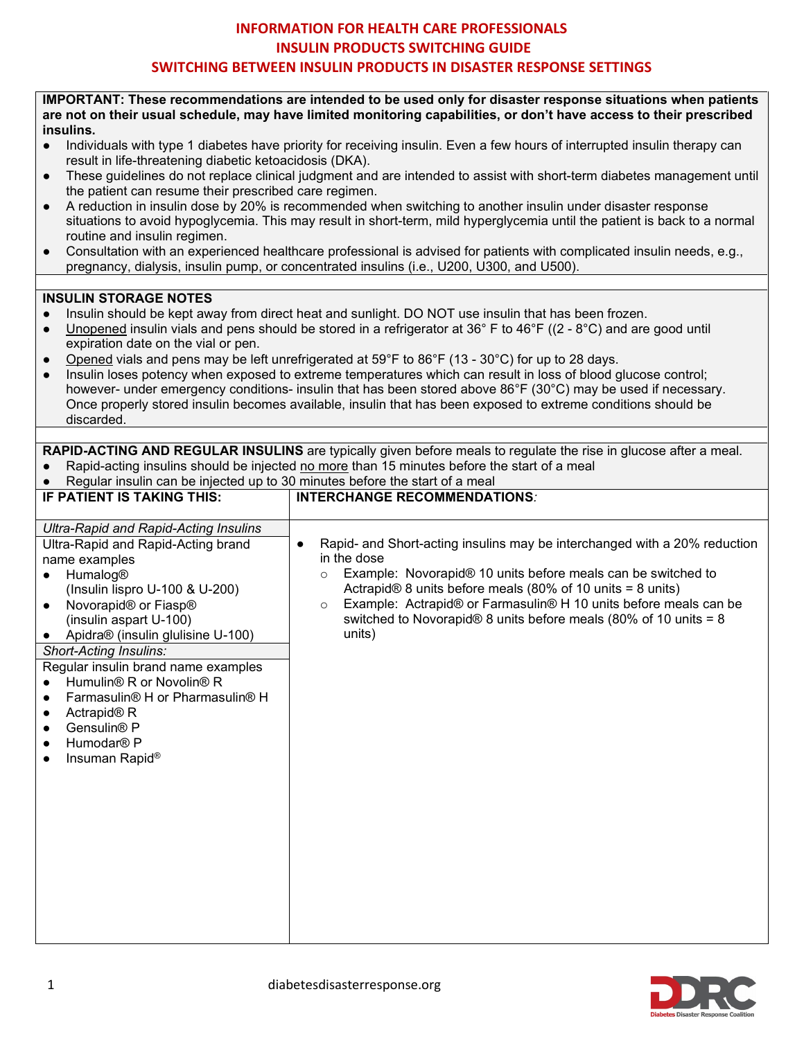# **INFORMATION FOR HEALTH CARE PROFESSIONALS INSULIN PRODUCTS SWITCHING GUIDE SWITCHING BETWEEN INSULIN PRODUCTS IN DISASTER RESPONSE SETTINGS**

**IMPORTANT: These recommendations are intended to be used only for disaster response situations when patients are not on their usual schedule, may have limited monitoring capabilities, or don't have access to their prescribed insulins.**

- Individuals with type 1 diabetes have priority for receiving insulin. Even a few hours of interrupted insulin therapy can result in life-threatening diabetic ketoacidosis (DKA).
- These guidelines do not replace clinical judgment and are intended to assist with short-term diabetes management until the patient can resume their prescribed care regimen.
- A reduction in insulin dose by 20% is recommended when switching to another insulin under disaster response situations to avoid hypoglycemia. This may result in short-term, mild hyperglycemia until the patient is back to a normal routine and insulin regimen.
- Consultation with an experienced healthcare professional is advised for patients with complicated insulin needs, e.g., pregnancy, dialysis, insulin pump, or concentrated insulins (i.e., U200, U300, and U500).

## **INSULIN STORAGE NOTES**

- Insulin should be kept away from direct heat and sunlight. DO NOT use insulin that has been frozen.
- Unopened insulin vials and pens should be stored in a refrigerator at 36° F to 46°F ((2 8°C) and are good until expiration date on the vial or pen.
- Opened vials and pens may be left unrefrigerated at  $59^{\circ}F$  to  $86^{\circ}F$  (13 30°C) for up to 28 days.
- Insulin loses potency when exposed to extreme temperatures which can result in loss of blood glucose control; however- under emergency conditions- insulin that has been stored above 86°F (30°C) may be used if necessary. Once properly stored insulin becomes available, insulin that has been exposed to extreme conditions should be discarded.

**RAPID-ACTING AND REGULAR INSULINS** are typically given before meals to regulate the rise in glucose after a meal.

- Rapid-acting insulins should be injected no more than 15 minutes before the start of a meal
- Regular insulin can be injected up to 30 minutes before the start of a meal

| IF PATIENT IS TAKING THIS:                                                                                                                                                                                                                                                                                                                                                                                                                                                                                                  | <b>INTERCHANGE RECOMMENDATIONS:</b>                                                                                                                                                                                                                                                                                                                                                             |
|-----------------------------------------------------------------------------------------------------------------------------------------------------------------------------------------------------------------------------------------------------------------------------------------------------------------------------------------------------------------------------------------------------------------------------------------------------------------------------------------------------------------------------|-------------------------------------------------------------------------------------------------------------------------------------------------------------------------------------------------------------------------------------------------------------------------------------------------------------------------------------------------------------------------------------------------|
| <b>Ultra-Rapid and Rapid-Acting Insulins</b><br>Ultra-Rapid and Rapid-Acting brand<br>name examples<br>Humalog®<br>(Insulin lispro U-100 & U-200)<br>Novorapid® or Fiasp®<br>(insulin aspart U-100)<br>Apidra® (insulin glulisine U-100)<br>Short-Acting Insulins:<br>Regular insulin brand name examples<br>Humulin® R or Novolin® R<br>Farmasulin <sup>®</sup> H or Pharmasulin <sup>®</sup> H<br>Actrapid <sup>®</sup> R<br>Gensulin <sup>®</sup> P<br>$\bullet$<br>Humodar <sup>®</sup> P<br>Insuman Rapid <sup>®</sup> | Rapid- and Short-acting insulins may be interchanged with a 20% reduction<br>in the dose<br>Example: Novorapid® 10 units before meals can be switched to<br>$\Omega$<br>Actrapid® 8 units before meals (80% of 10 units = 8 units)<br>Example: Actrapid® or Farmasulin® H 10 units before meals can be<br>$\circ$<br>switched to Novorapid® 8 units before meals (80% of 10 units = 8<br>units) |

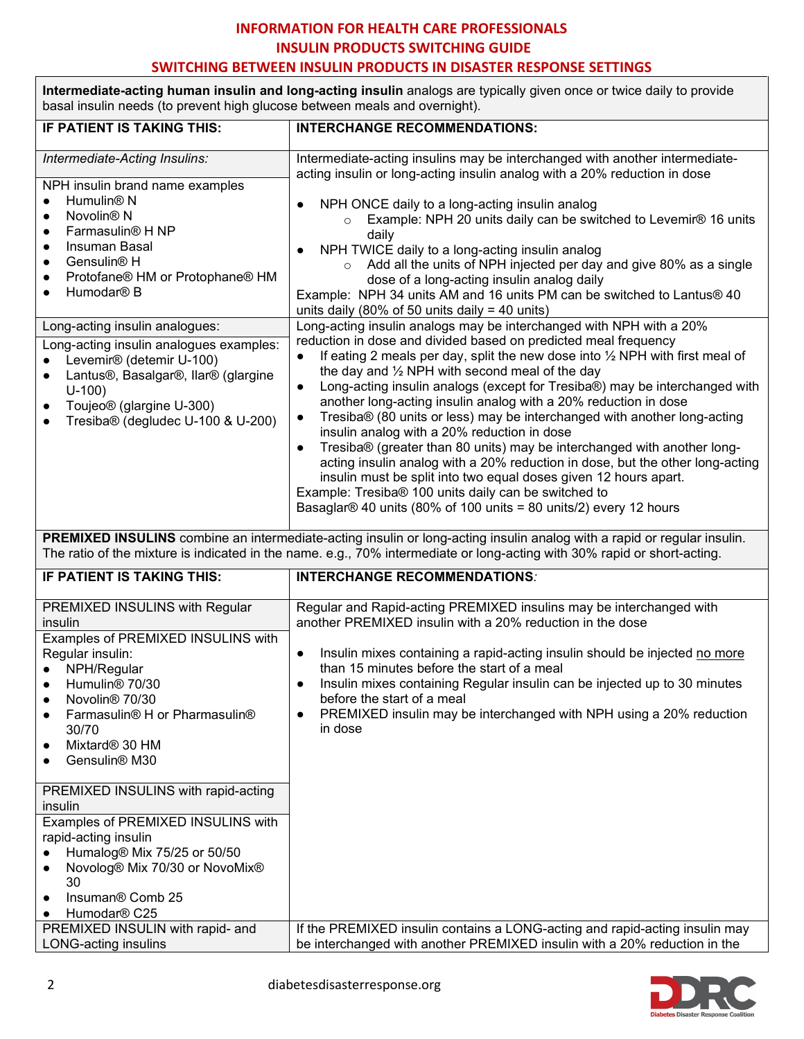## **INFORMATION FOR HEALTH CARE PROFESSIONALS INSULIN PRODUCTS SWITCHING GUIDE SWITCHING BETWEEN INSULIN PRODUCTS IN DISASTER RESPONSE SETTINGS**

**Intermediate-acting human insulin and long-acting insulin** analogs are typically given once or twice daily to provide basal insulin needs (to prevent high glucose between meals and overnight).

| IF PATIENT IS TAKING THIS:                                                                                                                                                                                                                                                                                                                                                                                                                                                                                                                                                           | <b>INTERCHANGE RECOMMENDATIONS:</b>                                                                                                                                                                                                                                                                                                                                                                                                                                                                                                                                                                                                                                                                                                                                                                                                                                                                                                                                                                                                                                                                                                                                                                                                                                                                                                                                                                                                                                                                                                                               |
|--------------------------------------------------------------------------------------------------------------------------------------------------------------------------------------------------------------------------------------------------------------------------------------------------------------------------------------------------------------------------------------------------------------------------------------------------------------------------------------------------------------------------------------------------------------------------------------|-------------------------------------------------------------------------------------------------------------------------------------------------------------------------------------------------------------------------------------------------------------------------------------------------------------------------------------------------------------------------------------------------------------------------------------------------------------------------------------------------------------------------------------------------------------------------------------------------------------------------------------------------------------------------------------------------------------------------------------------------------------------------------------------------------------------------------------------------------------------------------------------------------------------------------------------------------------------------------------------------------------------------------------------------------------------------------------------------------------------------------------------------------------------------------------------------------------------------------------------------------------------------------------------------------------------------------------------------------------------------------------------------------------------------------------------------------------------------------------------------------------------------------------------------------------------|
|                                                                                                                                                                                                                                                                                                                                                                                                                                                                                                                                                                                      |                                                                                                                                                                                                                                                                                                                                                                                                                                                                                                                                                                                                                                                                                                                                                                                                                                                                                                                                                                                                                                                                                                                                                                                                                                                                                                                                                                                                                                                                                                                                                                   |
| Intermediate-Acting Insulins:<br>NPH insulin brand name examples<br>Humulin <sup>®</sup> N<br>Novolin <sup>®</sup> N<br>Farmasulin <sup>®</sup> H NP<br>$\bullet$<br>Insuman Basal<br>$\bullet$<br>Gensulin <sup>®</sup> H<br>$\bullet$<br>Protofane® HM or Protophane® HM<br>Humodar <sup>®</sup> B<br>Long-acting insulin analogues:<br>Long-acting insulin analogues examples:<br>Levemir® (detemir U-100)<br>$\bullet$<br>Lantus®, Basalgar®, Ilar® (glargine<br>$\bullet$<br>$U-100$<br>Toujeo® (glargine U-300)<br>$\bullet$<br>Tresiba® (degludec U-100 & U-200)<br>$\bullet$ | Intermediate-acting insulins may be interchanged with another intermediate-<br>acting insulin or long-acting insulin analog with a 20% reduction in dose<br>NPH ONCE daily to a long-acting insulin analog<br>Example: NPH 20 units daily can be switched to Levemir® 16 units<br>$\circ$<br>daily<br>NPH TWICE daily to a long-acting insulin analog<br>Add all the units of NPH injected per day and give 80% as a single<br>$\circ$<br>dose of a long-acting insulin analog daily<br>Example: NPH 34 units AM and 16 units PM can be switched to Lantus® 40<br>units daily (80% of 50 units daily = 40 units)<br>Long-acting insulin analogs may be interchanged with NPH with a 20%<br>reduction in dose and divided based on predicted meal frequency<br>If eating 2 meals per day, split the new dose into $\frac{1}{2}$ NPH with first meal of<br>the day and 1/2 NPH with second meal of the day<br>Long-acting insulin analogs (except for Tresiba®) may be interchanged with<br>another long-acting insulin analog with a 20% reduction in dose<br>Tresiba® (80 units or less) may be interchanged with another long-acting<br>insulin analog with a 20% reduction in dose<br>Tresiba® (greater than 80 units) may be interchanged with another long-<br>$\bullet$<br>acting insulin analog with a 20% reduction in dose, but the other long-acting<br>insulin must be split into two equal doses given 12 hours apart.<br>Example: Tresiba® 100 units daily can be switched to<br>Basaglar $@$ 40 units (80% of 100 units = 80 units/2) every 12 hours |
| PREMIXED INSULINS combine an intermediate-acting insulin or long-acting insulin analog with a rapid or regular insulin.<br>The ratio of the mixture is indicated in the name. e.g., 70% intermediate or long-acting with 30% rapid or short-acting.                                                                                                                                                                                                                                                                                                                                  |                                                                                                                                                                                                                                                                                                                                                                                                                                                                                                                                                                                                                                                                                                                                                                                                                                                                                                                                                                                                                                                                                                                                                                                                                                                                                                                                                                                                                                                                                                                                                                   |
| IF PATIENT IS TAKING THIS:                                                                                                                                                                                                                                                                                                                                                                                                                                                                                                                                                           | <b>INTERCHANGE RECOMMENDATIONS:</b>                                                                                                                                                                                                                                                                                                                                                                                                                                                                                                                                                                                                                                                                                                                                                                                                                                                                                                                                                                                                                                                                                                                                                                                                                                                                                                                                                                                                                                                                                                                               |
| PREMIXED INSULINS with Regular<br>insulin<br>Examples of PREMIXED INSULINS with<br>Regular insulin:<br>NPH/Regular<br>Humulin <sup>®</sup> 70/30<br>Novolin <sup>®</sup> 70/30<br>Farmasulin® H or Pharmasulin®<br>$\bullet$<br>30/70<br>Mixtard <sup>®</sup> 30 HM<br>Gensulin <sup>®</sup> M30<br>PREMIXED INSULINS with rapid-acting<br>insulin<br>Examples of PREMIXED INSULINS with<br>rapid-acting insulin<br>Humalog® Mix 75/25 or 50/50<br>Novolog® Mix 70/30 or NovoMix®<br>30<br>Insuman <sup>®</sup> Comb 25<br>Humodar <sup>®</sup> C25                                  | Regular and Rapid-acting PREMIXED insulins may be interchanged with<br>another PREMIXED insulin with a 20% reduction in the dose<br>Insulin mixes containing a rapid-acting insulin should be injected no more<br>than 15 minutes before the start of a meal<br>Insulin mixes containing Regular insulin can be injected up to 30 minutes<br>before the start of a meal<br>PREMIXED insulin may be interchanged with NPH using a 20% reduction<br>in dose                                                                                                                                                                                                                                                                                                                                                                                                                                                                                                                                                                                                                                                                                                                                                                                                                                                                                                                                                                                                                                                                                                         |
| $\bullet$<br>PREMIXED INSULIN with rapid- and<br><b>LONG-acting insulins</b>                                                                                                                                                                                                                                                                                                                                                                                                                                                                                                         | If the PREMIXED insulin contains a LONG-acting and rapid-acting insulin may<br>be interchanged with another PREMIXED insulin with a 20% reduction in the                                                                                                                                                                                                                                                                                                                                                                                                                                                                                                                                                                                                                                                                                                                                                                                                                                                                                                                                                                                                                                                                                                                                                                                                                                                                                                                                                                                                          |